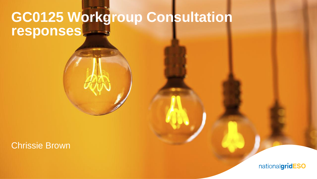# **GC0125 Workgroup Consultation responses**

#### Chrissie Brown

nationalgridESO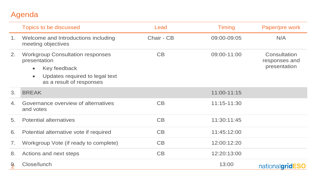### Agenda

|    | Topics to be discussed                                                                                                                                          | Lead       | <b>Timing</b> | Paper/pre work                                |
|----|-----------------------------------------------------------------------------------------------------------------------------------------------------------------|------------|---------------|-----------------------------------------------|
| 1. | Welcome and Introductions including<br>meeting objectives                                                                                                       | Chair - CB | 09:00-09:05   | N/A                                           |
| 2. | <b>Workgroup Consultation responses</b><br>presentation<br>Key feedback<br>$\bullet$<br>Updates required to legal text<br>$\bullet$<br>as a result of responses | CB         | 09:00-11:00   | Consultation<br>responses and<br>presentation |
| 3. | <b>BREAK</b>                                                                                                                                                    |            | 11:00-11:15   |                                               |
| 4. | Governance overview of alternatives<br>and votes                                                                                                                | CB         | 11:15-11:30   |                                               |
| 5. | <b>Potential alternatives</b>                                                                                                                                   | CB         | 11:30:11:45   |                                               |
| 6. | Potential alternative vote if required                                                                                                                          | CB         | 11:45:12:00   |                                               |
| 7. | Workgroup Vote (if ready to complete)                                                                                                                           | CB         | 12:00:12:20   |                                               |
| 8. | Actions and next steps                                                                                                                                          | CB         | 12:20:13:00   |                                               |
| 9. | Close/lunch                                                                                                                                                     |            | 13:00         | nationalgridESO                               |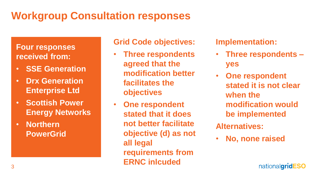## **Workgroup Consultation responses**

### **Four responses received from:**

- **SSE Generation**
- **Drx Generation Enterprise Ltd**
- **Scottish Power Energy Networks**
- **Northern PowerGrid**

#### **Grid Code objectives:**

- **Three respondents agreed that the modification better facilitates the objectives**
- **One respondent stated that it does not better facilitate objective (d) as not all legal requirements from ERNC inlcuded**

**Implementation:**

- **Three respondents – yes**
- **One respondent stated it is not clear when the modification would be implemented**
- **Alternatives:**
- **No, none raised**

nationalgridESO